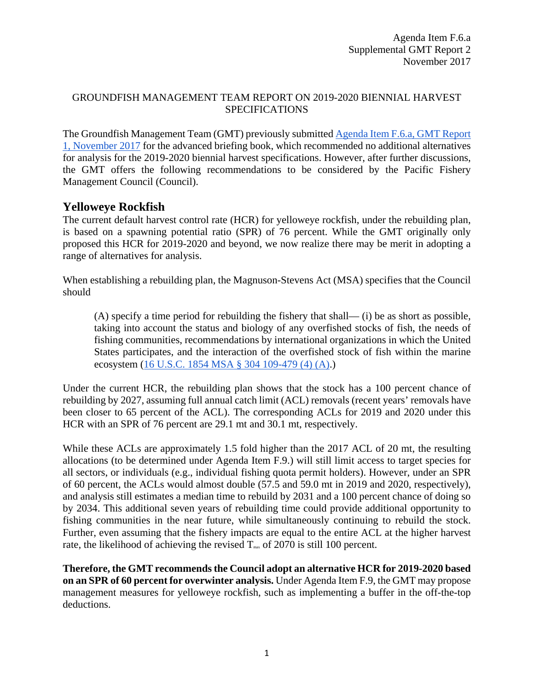#### GROUNDFISH MANAGEMENT TEAM REPORT ON 2019-2020 BIENNIAL HARVEST SPECIFICATIONS

The Groundfish Management Team (GMT) previously submitted [Agenda Item F.6.a, GMT Report](http://www.pcouncil.org/wp-content/uploads/2017/10/F6a_GMT_Rpt1_NOV2017BB.pdf)  [1, November 2017](http://www.pcouncil.org/wp-content/uploads/2017/10/F6a_GMT_Rpt1_NOV2017BB.pdf) for the advanced briefing book, which recommended no additional alternatives for analysis for the 2019-2020 biennial harvest specifications. However, after further discussions, the GMT offers the following recommendations to be considered by the Pacific Fishery Management Council (Council).

### **Yelloweye Rockfish**

The current default harvest control rate (HCR) for yelloweye rockfish, under the rebuilding plan, is based on a spawning potential ratio (SPR) of 76 percent. While the GMT originally only proposed this HCR for 2019-2020 and beyond, we now realize there may be merit in adopting a range of alternatives for analysis.

When establishing a rebuilding plan, the Magnuson-Stevens Act (MSA) specifies that the Council should

(A) specify a time period for rebuilding the fishery that shall— (i) be as short as possible, taking into account the status and biology of any overfished stocks of fish, the needs of fishing communities, recommendations by international organizations in which the United States participates, and the interaction of the overfished stock of fish within the marine ecosystem [\(16 U.S.C. 1854 MSA § 304 109-479 \(4\) \(A\).](http://www.nmfs.noaa.gov/sfa/laws_policies/msa/documents/msa_amended_2007.pdf#page=100))

Under the current HCR, the rebuilding plan shows that the stock has a 100 percent chance of rebuilding by 2027, assuming full annual catch limit (ACL) removals (recent years' removals have been closer to 65 percent of the ACL). The corresponding ACLs for 2019 and 2020 under this HCR with an SPR of 76 percent are 29.1 mt and 30.1 mt, respectively.

While these ACLs are approximately 1.5 fold higher than the 2017 ACL of 20 mt, the resulting allocations (to be determined under Agenda Item F.9.) will still limit access to target species for all sectors, or individuals (e.g., individual fishing quota permit holders). However, under an SPR of 60 percent, the ACLs would almost double (57.5 and 59.0 mt in 2019 and 2020, respectively), and analysis still estimates a median time to rebuild by 2031 and a 100 percent chance of doing so by 2034. This additional seven years of rebuilding time could provide additional opportunity to fishing communities in the near future, while simultaneously continuing to rebuild the stock. Further, even assuming that the fishery impacts are equal to the entire ACL at the higher harvest rate, the likelihood of achieving the revised  $T_{\text{max}}$  of 2070 is still 100 percent.

**Therefore, the GMT recommends the Council adopt an alternative HCR for 2019-2020 based on an SPR of 60 percent for overwinter analysis.** Under Agenda Item F.9, the GMT may propose management measures for yelloweye rockfish, such as implementing a buffer in the off-the-top deductions.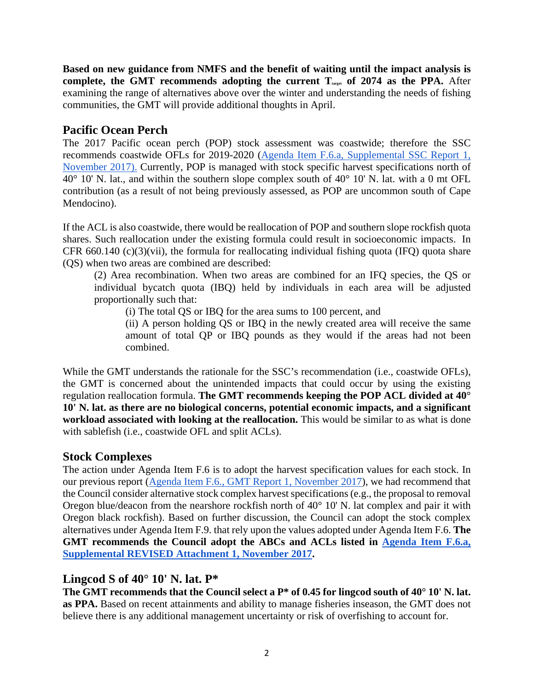**Based on new guidance from NMFS and the benefit of waiting until the impact analysis is**  complete, the GMT recommends adopting the current  $T_{\text{target}}$  of 2074 as the PPA. After examining the range of alternatives above over the winter and understanding the needs of fishing communities, the GMT will provide additional thoughts in April.

### **Pacific Ocean Perch**

The 2017 Pacific ocean perch (POP) stock assessment was coastwide; therefore the SSC recommends coastwide OFLs for 2019-2020 [\(Agenda Item F.6.a, Supplemental SSC Report 1,](https://www.pcouncil.org/wp-content/uploads/2017/11/F6a_Sup_SSC_Rpt1_NOV2017BB.pdf)  [November 2017\).](https://www.pcouncil.org/wp-content/uploads/2017/11/F6a_Sup_SSC_Rpt1_NOV2017BB.pdf) Currently, POP is managed with stock specific harvest specifications north of  $40^{\circ}$  10' N. lat., and within the southern slope complex south of  $40^{\circ}$  10' N. lat. with a 0 mt OFL contribution (as a result of not being previously assessed, as POP are uncommon south of Cape Mendocino).

If the ACL is also coastwide, there would be reallocation of POP and southern slope rockfish quota shares. Such reallocation under the existing formula could result in socioeconomic impacts. In CFR 660.140 (c)(3)(vii), the formula for reallocating individual fishing quota (IFQ) quota share (QS) when two areas are combined are described:

(2) Area recombination. When two areas are combined for an IFQ species, the QS or individual bycatch quota (IBQ) held by individuals in each area will be adjusted proportionally such that:

(i) The total QS or IBQ for the area sums to 100 percent, and

(ii) A person holding QS or IBQ in the newly created area will receive the same amount of total QP or IBQ pounds as they would if the areas had not been combined.

While the GMT understands the rationale for the SSC's recommendation (i.e., coastwide OFLs), the GMT is concerned about the unintended impacts that could occur by using the existing regulation reallocation formula. **The GMT recommends keeping the POP ACL divided at 40° 10' N. lat. as there are no biological concerns, potential economic impacts, and a significant workload associated with looking at the reallocation.** This would be similar to as what is done with sablefish (i.e., coastwide OFL and split ACLs).

# **Stock Complexes**

The action under Agenda Item F.6 is to adopt the harvest specification values for each stock. In our previous report [\(Agenda Item F.6., GMT Report 1, November 2017\)](http://www.pcouncil.org/wp-content/uploads/2017/10/F6a_GMT_Rpt1_NOV2017BB.pdf), we had recommend that the Council consider alternative stock complex harvest specifications (e.g., the proposal to removal Oregon blue/deacon from the nearshore rockfish north of 40° 10' N. lat complex and pair it with Oregon black rockfish). Based on further discussion, the Council can adopt the stock complex alternatives under Agenda Item F.9. that rely upon the values adopted under Agenda Item F.6. **The GMT recommends the Council adopt the ABCs and ACLs listed in [Agenda Item F.6.a,](https://www.pcouncil.org/wp-content/uploads/2017/11/F6_Sup_REVISED_Att1_2019-20HarvestSpex_NOV2017BB.pdf) [Supplemental REVISED Attachment 1, November 2017.](https://www.pcouncil.org/wp-content/uploads/2017/11/F6_Sup_REVISED_Att1_2019-20HarvestSpex_NOV2017BB.pdf)**

## **Lingcod S of 40° 10' N. lat. P\***

**The GMT recommends that the Council select a P\* of 0.45 for lingcod south of 40° 10' N. lat. as PPA.** Based on recent attainments and ability to manage fisheries inseason, the GMT does not believe there is any additional management uncertainty or risk of overfishing to account for.